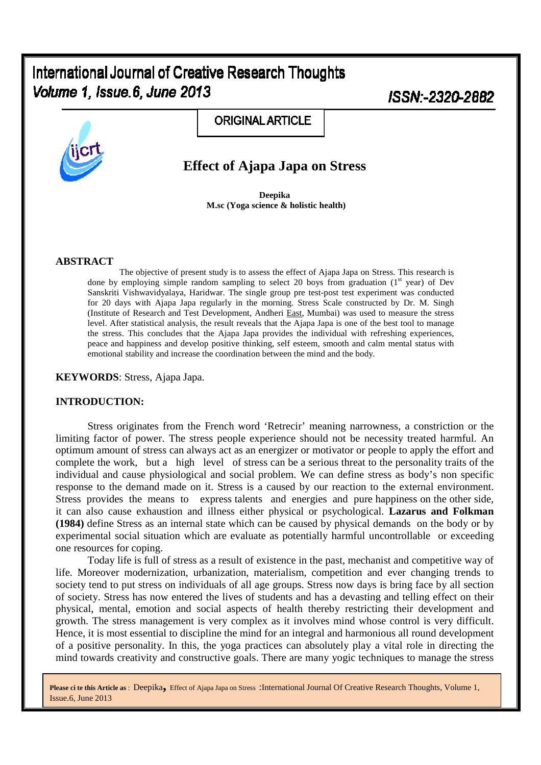# International Journal of Creative Research Thoughts Volume 1, Issue.6, June 2013

ISSN-2320-2882



# **Effect of Ajapa Japa on Stress**

**ORIGINAL ARTICLE** 

**Deepika M.sc (Yoga science & holistic health)** 

#### **ABSTRACT**

The objective of present study is to assess the effect of Ajapa Japa on Stress. This research is done by employing simple random sampling to select 20 boys from graduation  $(1<sup>st</sup> year)$  of Dev Sanskriti Vishwavidyalaya, Haridwar. The single group pre test-post test experiment was conducted for 20 days with Ajapa Japa regularly in the morning. Stress Scale constructed by Dr. M. Singh (Institute of Research and Test Development, Andheri East, Mumbai) was used to measure the stress level. After statistical analysis, the result reveals that the Ajapa Japa is one of the best tool to manage the stress. This concludes that the Ajapa Japa provides the individual with refreshing experiences, peace and happiness and develop positive thinking, self esteem, smooth and calm mental status with emotional stability and increase the coordination between the mind and the body.

#### **KEYWORDS**: Stress, Ajapa Japa.

#### **INTRODUCTION:**

Stress originates from the French word 'Retrecir' meaning narrowness, a constriction or the limiting factor of power. The stress people experience should not be necessity treated harmful. An optimum amount of stress can always act as an energizer or motivator or people to apply the effort and complete the work, but a high level of stress can be a serious threat to the personality traits of the individual and cause physiological and social problem. We can define stress as body's non specific response to the demand made on it. Stress is a caused by our reaction to the external environment. Stress provides the means to express talents and energies and pure happiness on the other side, it can also cause exhaustion and illness either physical or psychological. **Lazarus and Folkman (1984)** define Stress as an internal state which can be caused by physical demands on the body or by experimental social situation which are evaluate as potentially harmful uncontrollable or exceeding one resources for coping.

Today life is full of stress as a result of existence in the past, mechanist and competitive way of life. Moreover modernization, urbanization, materialism, competition and ever changing trends to society tend to put stress on individuals of all age groups. Stress now days is bring face by all section of society. Stress has now entered the lives of students and has a devasting and telling effect on their physical, mental, emotion and social aspects of health thereby restricting their development and growth. The stress management is very complex as it involves mind whose control is very difficult. Hence, it is most essential to discipline the mind for an integral and harmonious all round development of a positive personality. In this, the yoga practices can absolutely play a vital role in directing the mind towards creativity and constructive goals. There are many yogic techniques to manage the stress

**Please ci te this Article as** : Deepika**,** Effect of Ajapa Japa on Stress :International Journal Of Creative Research Thoughts, Volume 1, Issue.6, June 2013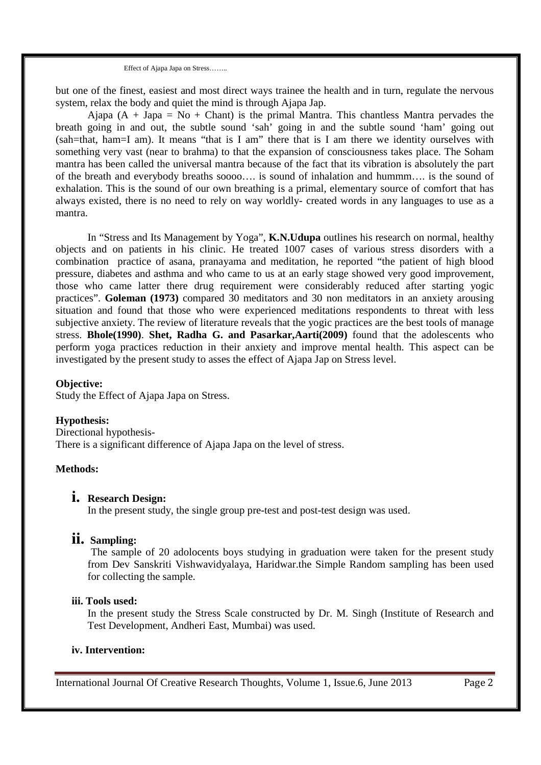Effect of Ajapa Japa on Stress……..

but one of the finest, easiest and most direct ways trainee the health and in turn, regulate the nervous system, relax the body and quiet the mind is through Ajapa Jap.

Ajapa  $(A + Japa = No + Chant)$  is the primal Mantra. This chantless Mantra pervades the breath going in and out, the subtle sound 'sah' going in and the subtle sound 'ham' going out (sah=that, ham=I am). It means "that is I am" there that is I am there we identity ourselves with something very vast (near to brahma) to that the expansion of consciousness takes place. The Soham mantra has been called the universal mantra because of the fact that its vibration is absolutely the part of the breath and everybody breaths soooo…. is sound of inhalation and hummm…. is the sound of exhalation. This is the sound of our own breathing is a primal, elementary source of comfort that has always existed, there is no need to rely on way worldly- created words in any languages to use as a mantra.

In "Stress and Its Management by Yoga", **K.N.Udupa** outlines his research on normal, healthy objects and on patients in his clinic. He treated 1007 cases of various stress disorders with a combination practice of asana, pranayama and meditation, he reported "the patient of high blood pressure, diabetes and asthma and who came to us at an early stage showed very good improvement, those who came latter there drug requirement were considerably reduced after starting yogic practices". **Goleman (1973)** compared 30 meditators and 30 non meditators in an anxiety arousing situation and found that those who were experienced meditations respondents to threat with less subjective anxiety. The review of literature reveals that the yogic practices are the best tools of manage stress. **Bhole(1990)**. **Shet, Radha G. and Pasarkar,Aarti(2009)** found that the adolescents who perform yoga practices reduction in their anxiety and improve mental health. This aspect can be investigated by the present study to asses the effect of Ajapa Jap on Stress level.

## **Objective:**

Study the Effect of Ajapa Japa on Stress.

## **Hypothesis:**

Directional hypothesis-There is a significant difference of Ajapa Japa on the level of stress.

## **Methods:**

# **i. Research Design:**

In the present study, the single group pre-test and post-test design was used.

# **ii. Sampling:**

The sample of 20 adolocents boys studying in graduation were taken for the present study from Dev Sanskriti Vishwavidyalaya, Haridwar.the Simple Random sampling has been used for collecting the sample.

# **iii. Tools used:**

In the present study the Stress Scale constructed by Dr. M. Singh (Institute of Research and Test Development, Andheri East, Mumbai) was used.

#### **iv. Intervention:**

International Journal Of Creative Research Thoughts, Volume 1, Issue.6, June 2013 Page 2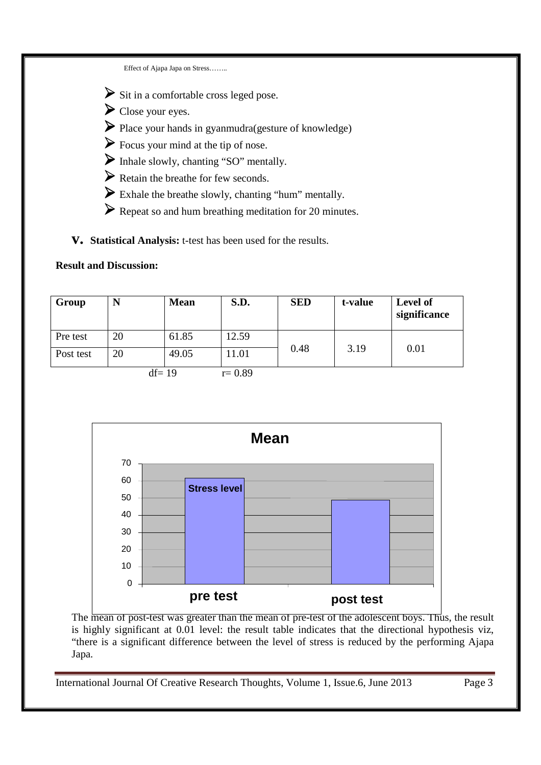Effect of Ajapa Japa on Stress……..

 $\triangleright$  Sit in a comfortable cross leged pose.

- Close your eyes.
- Place your hands in gyanmudra(gesture of knowledge)
- Focus your mind at the tip of nose.
- Inhale slowly, chanting "SO" mentally.
- $\triangleright$  Retain the breathe for few seconds.
- Exhale the breathe slowly, chanting "hum" mentally.
- Repeat so and hum breathing meditation for 20 minutes.

**v. Statistical Analysis:** t-test has been used for the results.

# **Result and Discussion:**

| Group     | N  | <b>Mean</b> | S.D.       | <b>SED</b> | t-value | Level of<br>significance |
|-----------|----|-------------|------------|------------|---------|--------------------------|
| Pre test  | 20 | 61.85       | 12.59      |            | 3.19    | 0.01                     |
| Post test | 20 | 49.05       | 1.01       | 0.48       |         |                          |
| $df = 19$ |    |             | $r = 0.89$ |            |         |                          |



The mean of post-test was greater than the mean of pre-test of the adolescent boys. Thus, the result is highly significant at 0.01 level: the result table indicates that the directional hypothesis viz, "there is a significant difference between the level of stress is reduced by the performing Ajapa Japa.

International Journal Of Creative Research Thoughts, Volume 1, Issue.6, June 2013 Page 3